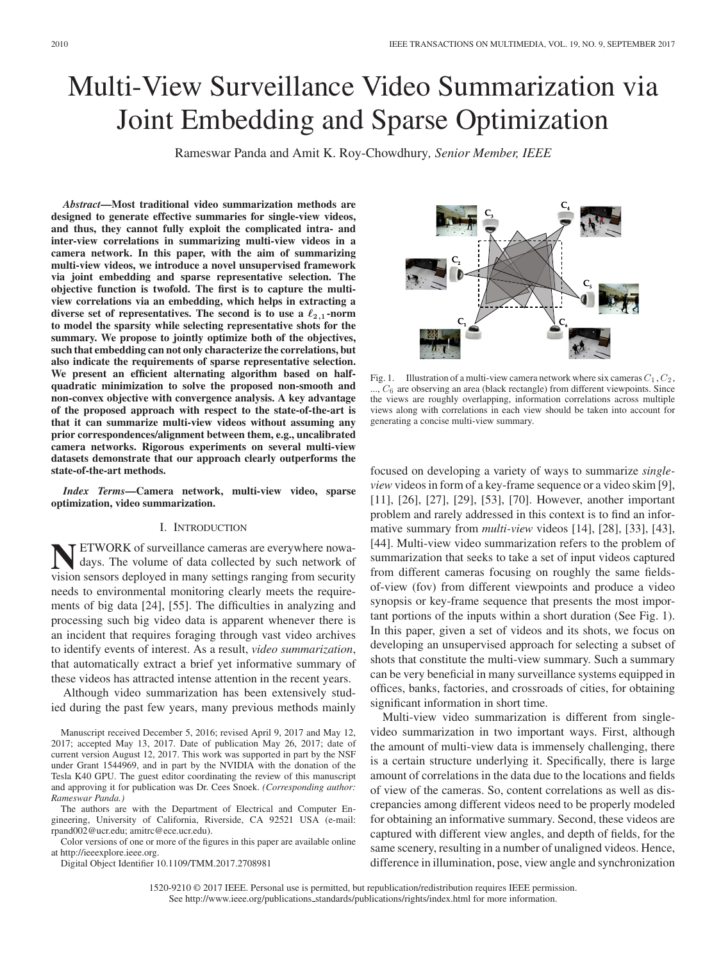# Multi-View Surveillance Video Summarization via Joint Embedding and Sparse Optimization

Rameswar Panda and Amit K. Roy-Chowdhury*, Senior Member, IEEE*

*Abstract***—Most traditional video summarization methods are designed to generate effective summaries for single-view videos, and thus, they cannot fully exploit the complicated intra- and inter-view correlations in summarizing multi-view videos in a camera network. In this paper, with the aim of summarizing multi-view videos, we introduce a novel unsupervised framework via joint embedding and sparse representative selection. The objective function is twofold. The first is to capture the multiview correlations via an embedding, which helps in extracting a** diverse set of representatives. The second is to use a  $\ell_{2,1}$ -norm **to model the sparsity while selecting representative shots for the summary. We propose to jointly optimize both of the objectives, such that embedding can not only characterize the correlations, but also indicate the requirements of sparse representative selection. We present an efficient alternating algorithm based on halfquadratic minimization to solve the proposed non-smooth and non-convex objective with convergence analysis. A key advantage of the proposed approach with respect to the state-of-the-art is that it can summarize multi-view videos without assuming any prior correspondences/alignment between them, e.g., uncalibrated camera networks. Rigorous experiments on several multi-view datasets demonstrate that our approach clearly outperforms the state-of-the-art methods.**

*Index Terms***—Camera network, multi-view video, sparse optimization, video summarization.**

# I. INTRODUCTION

**T** ETWORK of surveillance cameras are everywhere nowadays. The volume of data collected by such network of vision sensors deployed in many settings ranging from security needs to environmental monitoring clearly meets the requirements of big data [24], [55]. The difficulties in analyzing and processing such big video data is apparent whenever there is an incident that requires foraging through vast video archives to identify events of interest. As a result, *video summarization*, that automatically extract a brief yet informative summary of these videos has attracted intense attention in the recent years.

Although video summarization has been extensively studied during the past few years, many previous methods mainly

The authors are with the Department of Electrical and Computer Engineering, University of California, Riverside, CA 92521 USA (e-mail: rpand002@ucr.edu; amitrc@ece.ucr.edu).

Color versions of one or more of the figures in this paper are available online at http://ieeexplore.ieee.org.

Digital Object Identifier 10.1109/TMM.2017.2708981



Fig. 1. Illustration of a multi-view camera network where six cameras  $C_1$ ,  $C_2$ ,  $..., C_6$  are observing an area (black rectangle) from different viewpoints. Since the views are roughly overlapping, information correlations across multiple views along with correlations in each view should be taken into account for generating a concise multi-view summary.

focused on developing a variety of ways to summarize *singleview* videos in form of a key-frame sequence or a video skim [9], [11], [26], [27], [29], [53], [70]. However, another important problem and rarely addressed in this context is to find an informative summary from *multi-view* videos [14], [28], [33], [43], [44]. Multi-view video summarization refers to the problem of summarization that seeks to take a set of input videos captured from different cameras focusing on roughly the same fieldsof-view (fov) from different viewpoints and produce a video synopsis or key-frame sequence that presents the most important portions of the inputs within a short duration (See Fig. 1). In this paper, given a set of videos and its shots, we focus on developing an unsupervised approach for selecting a subset of shots that constitute the multi-view summary. Such a summary can be very beneficial in many surveillance systems equipped in offices, banks, factories, and crossroads of cities, for obtaining significant information in short time.

Multi-view video summarization is different from singlevideo summarization in two important ways. First, although the amount of multi-view data is immensely challenging, there is a certain structure underlying it. Specifically, there is large amount of correlations in the data due to the locations and fields of view of the cameras. So, content correlations as well as discrepancies among different videos need to be properly modeled for obtaining an informative summary. Second, these videos are captured with different view angles, and depth of fields, for the same scenery, resulting in a number of unaligned videos. Hence, difference in illumination, pose, view angle and synchronization

1520-9210 © 2017 IEEE. Personal use is permitted, but republication/redistribution requires IEEE permission. See http://www.ieee.org/publications standards/publications/rights/index.html for more information.

Manuscript received December 5, 2016; revised April 9, 2017 and May 12, 2017; accepted May 13, 2017. Date of publication May 26, 2017; date of current version August 12, 2017. This work was supported in part by the NSF under Grant 1544969, and in part by the NVIDIA with the donation of the Tesla K40 GPU. The guest editor coordinating the review of this manuscript and approving it for publication was Dr. Cees Snoek. *(Corresponding author: Rameswar Panda.)*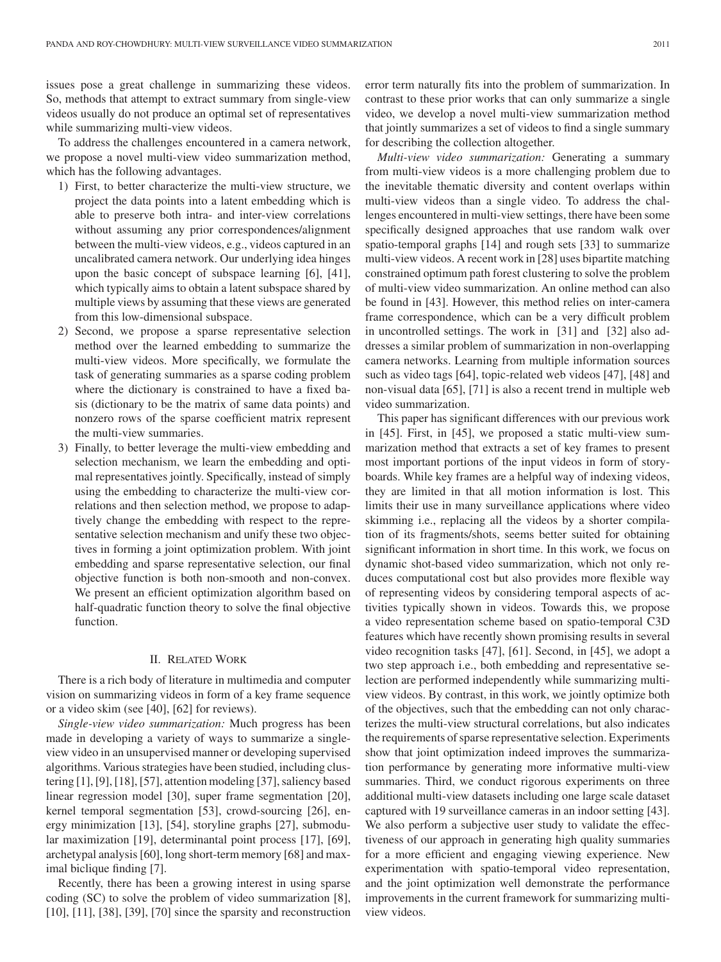issues pose a great challenge in summarizing these videos. So, methods that attempt to extract summary from single-view videos usually do not produce an optimal set of representatives while summarizing multi-view videos.

To address the challenges encountered in a camera network, we propose a novel multi-view video summarization method, which has the following advantages.

- 1) First, to better characterize the multi-view structure, we project the data points into a latent embedding which is able to preserve both intra- and inter-view correlations without assuming any prior correspondences/alignment between the multi-view videos, e.g., videos captured in an uncalibrated camera network. Our underlying idea hinges upon the basic concept of subspace learning [6], [41], which typically aims to obtain a latent subspace shared by multiple views by assuming that these views are generated from this low-dimensional subspace.
- 2) Second, we propose a sparse representative selection method over the learned embedding to summarize the multi-view videos. More specifically, we formulate the task of generating summaries as a sparse coding problem where the dictionary is constrained to have a fixed basis (dictionary to be the matrix of same data points) and nonzero rows of the sparse coefficient matrix represent the multi-view summaries.
- 3) Finally, to better leverage the multi-view embedding and selection mechanism, we learn the embedding and optimal representatives jointly. Specifically, instead of simply using the embedding to characterize the multi-view correlations and then selection method, we propose to adaptively change the embedding with respect to the representative selection mechanism and unify these two objectives in forming a joint optimization problem. With joint embedding and sparse representative selection, our final objective function is both non-smooth and non-convex. We present an efficient optimization algorithm based on half-quadratic function theory to solve the final objective function.

# II. RELATED WORK

There is a rich body of literature in multimedia and computer vision on summarizing videos in form of a key frame sequence or a video skim (see [40], [62] for reviews).

*Single-view video summarization:* Much progress has been made in developing a variety of ways to summarize a singleview video in an unsupervised manner or developing supervised algorithms. Various strategies have been studied, including clustering [1], [9], [18], [57], attention modeling [37], saliency based linear regression model [30], super frame segmentation [20], kernel temporal segmentation [53], crowd-sourcing [26], energy minimization [13], [54], storyline graphs [27], submodular maximization [19], determinantal point process [17], [69], archetypal analysis [60], long short-term memory [68] and maximal biclique finding [7].

Recently, there has been a growing interest in using sparse coding (SC) to solve the problem of video summarization [8], [10], [11], [38], [39], [70] since the sparsity and reconstruction error term naturally fits into the problem of summarization. In contrast to these prior works that can only summarize a single video, we develop a novel multi-view summarization method that jointly summarizes a set of videos to find a single summary for describing the collection altogether.

*Multi-view video summarization:* Generating a summary from multi-view videos is a more challenging problem due to the inevitable thematic diversity and content overlaps within multi-view videos than a single video. To address the challenges encountered in multi-view settings, there have been some specifically designed approaches that use random walk over spatio-temporal graphs [14] and rough sets [33] to summarize multi-view videos. A recent work in [28] uses bipartite matching constrained optimum path forest clustering to solve the problem of multi-view video summarization. An online method can also be found in [43]. However, this method relies on inter-camera frame correspondence, which can be a very difficult problem in uncontrolled settings. The work in [31] and [32] also addresses a similar problem of summarization in non-overlapping camera networks. Learning from multiple information sources such as video tags [64], topic-related web videos [47], [48] and non-visual data [65], [71] is also a recent trend in multiple web video summarization.

This paper has significant differences with our previous work in [45]. First, in [45], we proposed a static multi-view summarization method that extracts a set of key frames to present most important portions of the input videos in form of storyboards. While key frames are a helpful way of indexing videos, they are limited in that all motion information is lost. This limits their use in many surveillance applications where video skimming i.e., replacing all the videos by a shorter compilation of its fragments/shots, seems better suited for obtaining significant information in short time. In this work, we focus on dynamic shot-based video summarization, which not only reduces computational cost but also provides more flexible way of representing videos by considering temporal aspects of activities typically shown in videos. Towards this, we propose a video representation scheme based on spatio-temporal C3D features which have recently shown promising results in several video recognition tasks [47], [61]. Second, in [45], we adopt a two step approach i.e., both embedding and representative selection are performed independently while summarizing multiview videos. By contrast, in this work, we jointly optimize both of the objectives, such that the embedding can not only characterizes the multi-view structural correlations, but also indicates the requirements of sparse representative selection. Experiments show that joint optimization indeed improves the summarization performance by generating more informative multi-view summaries. Third, we conduct rigorous experiments on three additional multi-view datasets including one large scale dataset captured with 19 surveillance cameras in an indoor setting [43]. We also perform a subjective user study to validate the effectiveness of our approach in generating high quality summaries for a more efficient and engaging viewing experience. New experimentation with spatio-temporal video representation, and the joint optimization well demonstrate the performance improvements in the current framework for summarizing multiview videos.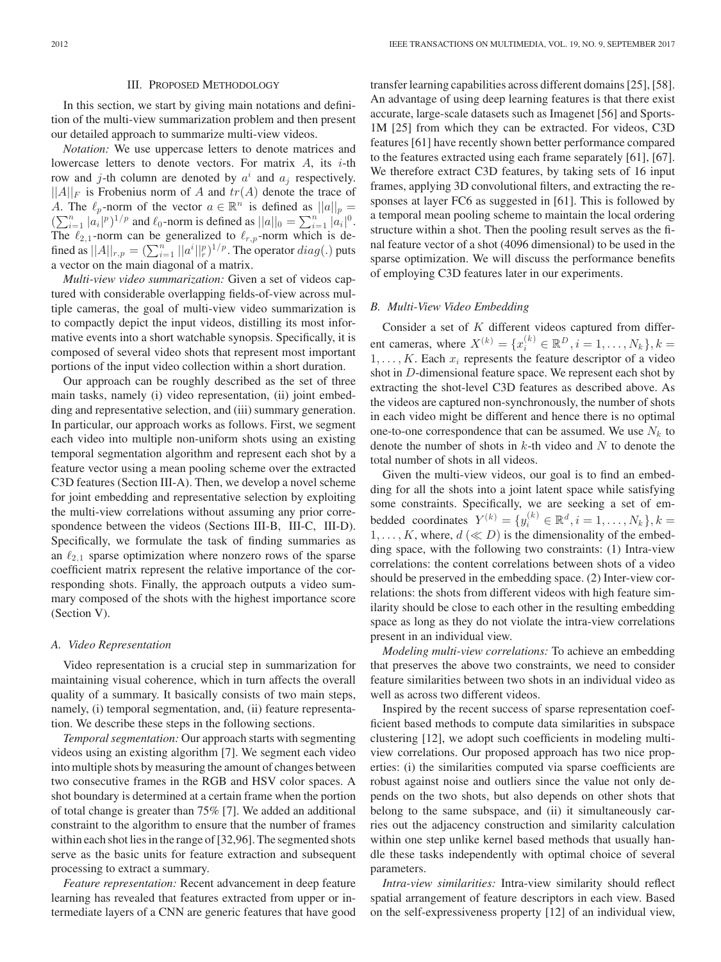#### III. PROPOSED METHODOLOGY

In this section, we start by giving main notations and definition of the multi-view summarization problem and then present our detailed approach to summarize multi-view videos.

*Notation:* We use uppercase letters to denote matrices and lowercase letters to denote vectors. For matrix  $A$ , its *i*-th row and j-th column are denoted by  $a^i$  and  $a_i$  respectively.  $||A||_F$  is Frobenius norm of A and  $tr(A)$  denote the trace of A. The  $\ell_p$ -norm of the vector  $a \in \mathbb{R}^n$  is defined as  $||a||_p =$ <br> $(\sum_{i=1}^n ||a_i||_p^p)$  and  $\ell_p$ -norm is defined as  $||a||_p = \sum_{i=1}^n ||a_i||_p^p$ ( $\sum_{i=1}^{\infty}$ ) and the extended to  $\ell_{r,p}$ -norm which is de-<br>The  $\ell_{2,1}$ -norm can be generalized to  $\ell_{r,p}$ -norm which is de- $\sum_{i=1}^{n} |a_i|^p$ <sup>1/p</sup> and  $\ell_0$ -norm is defined as  $||a||_0 = \sum_{i=1}^{n} |a_i|^0$ .<br>The  $\ell_0$ -norm can be generalized to  $\ell$  -norm which is defined as  $||A||_{r,p} = \left(\sum_{i=1}^n ||a^i||_p^p\right)^{1/p}$ . The operator  $diag(.)$  puts a vector on the main diagonal of a matrix.

*Multi-view video summarization:* Given a set of videos captured with considerable overlapping fields-of-view across multiple cameras, the goal of multi-view video summarization is to compactly depict the input videos, distilling its most informative events into a short watchable synopsis. Specifically, it is composed of several video shots that represent most important portions of the input video collection within a short duration.

Our approach can be roughly described as the set of three main tasks, namely (i) video representation, (ii) joint embedding and representative selection, and (iii) summary generation. In particular, our approach works as follows. First, we segment each video into multiple non-uniform shots using an existing temporal segmentation algorithm and represent each shot by a feature vector using a mean pooling scheme over the extracted C3D features (Section III-A). Then, we develop a novel scheme for joint embedding and representative selection by exploiting the multi-view correlations without assuming any prior correspondence between the videos (Sections III-B, III-C, III-D). Specifically, we formulate the task of finding summaries as an  $\ell_{2,1}$  sparse optimization where nonzero rows of the sparse coefficient matrix represent the relative importance of the corresponding shots. Finally, the approach outputs a video summary composed of the shots with the highest importance score (Section V).

#### *A. Video Representation*

Video representation is a crucial step in summarization for maintaining visual coherence, which in turn affects the overall quality of a summary. It basically consists of two main steps, namely, (i) temporal segmentation, and, (ii) feature representation. We describe these steps in the following sections.

*Temporal segmentation:* Our approach starts with segmenting videos using an existing algorithm [7]. We segment each video into multiple shots by measuring the amount of changes between two consecutive frames in the RGB and HSV color spaces. A shot boundary is determined at a certain frame when the portion of total change is greater than 75% [7]. We added an additional constraint to the algorithm to ensure that the number of frames within each shot lies in the range of [32,96]. The segmented shots serve as the basic units for feature extraction and subsequent processing to extract a summary.

*Feature representation:* Recent advancement in deep feature learning has revealed that features extracted from upper or intermediate layers of a CNN are generic features that have good transfer learning capabilities across different domains [25], [58]. An advantage of using deep learning features is that there exist accurate, large-scale datasets such as Imagenet [56] and Sports-1M [25] from which they can be extracted. For videos, C3D features [61] have recently shown better performance compared to the features extracted using each frame separately [61], [67]. We therefore extract C3D features, by taking sets of 16 input frames, applying 3D convolutional filters, and extracting the responses at layer FC6 as suggested in [61]. This is followed by a temporal mean pooling scheme to maintain the local ordering structure within a shot. Then the pooling result serves as the final feature vector of a shot (4096 dimensional) to be used in the sparse optimization. We will discuss the performance benefits of employing C3D features later in our experiments.

## *B. Multi-View Video Embedding*

Consider a set of  $K$  different videos captured from different cameras, where  $X^{(k)} = \{x_i^{(k)} \in \mathbb{R}^D, i = 1, ..., N_k\}, k =$ <br>1 K Fach x, represents the feature descriptor of a video  $1, \ldots, K$ . Each  $x_i$  represents the feature descriptor of a video shot in D-dimensional feature space. We represent each shot by extracting the shot-level C3D features as described above. As the videos are captured non-synchronously, the number of shots in each video might be different and hence there is no optimal one-to-one correspondence that can be assumed. We use  $N_k$  to denote the number of shots in  $k$ -th video and  $N$  to denote the total number of shots in all videos.

Given the multi-view videos, our goal is to find an embedding for all the shots into a joint latent space while satisfying some constraints. Specifically, we are seeking a set of embedded coordinates  $Y^{(k)} = \{y_i^{(k)} \in \mathbb{R}^d, i = 1, ..., N_k\}, k =$ <br>1 K where  $d \ll D$  is the dimensionality of the embed- $1, \ldots, K$ , where,  $d \ll D$ ) is the dimensionality of the embedding space, with the following two constraints: (1) Intra-view correlations: the content correlations between shots of a video should be preserved in the embedding space. (2) Inter-view correlations: the shots from different videos with high feature similarity should be close to each other in the resulting embedding space as long as they do not violate the intra-view correlations present in an individual view.

*Modeling multi-view correlations:* To achieve an embedding that preserves the above two constraints, we need to consider feature similarities between two shots in an individual video as well as across two different videos.

Inspired by the recent success of sparse representation coefficient based methods to compute data similarities in subspace clustering [12], we adopt such coefficients in modeling multiview correlations. Our proposed approach has two nice properties: (i) the similarities computed via sparse coefficients are robust against noise and outliers since the value not only depends on the two shots, but also depends on other shots that belong to the same subspace, and (ii) it simultaneously carries out the adjacency construction and similarity calculation within one step unlike kernel based methods that usually handle these tasks independently with optimal choice of several parameters.

*Intra-view similarities:* Intra-view similarity should reflect spatial arrangement of feature descriptors in each view. Based on the self-expressiveness property [12] of an individual view,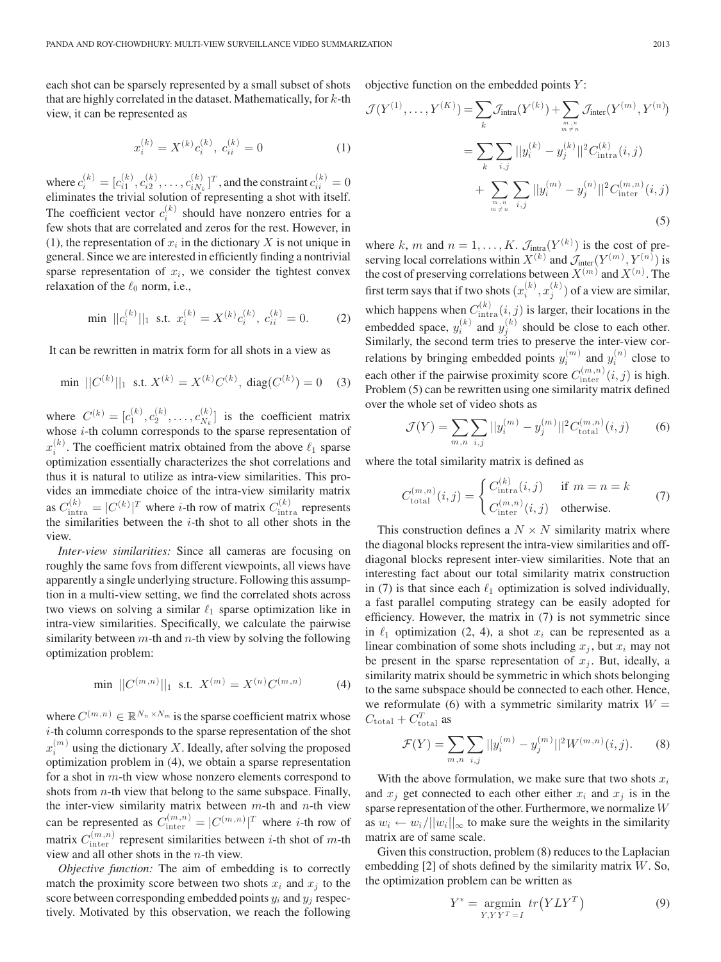each shot can be sparsely represented by a small subset of shots that are highly correlated in the dataset. Mathematically, for  $k$ -th view, it can be represented as

$$
x_i^{(k)} = X^{(k)} c_i^{(k)}, \ c_{ii}^{(k)} = 0 \tag{1}
$$

where  $c_i^{(k)} = [c_{i1}^{(k)}, c_{i2}^{(k)}, \dots, c_{iN_k}^{(k)}]^T$ , and the constraint  $c_{ii}^{(k)} = 0$  eliminates the trivial solution of representing a shot with itself. The coefficient vector  $c_i^{(k)}$  should have nonzero entries for a few shots that are correlated and zeros for the rest. However, in (1), the representation of  $x_i$  in the dictionary X is not unique in general. Since we are interested in efficiently finding a nontrivial sparse representation of  $x_i$ , we consider the tightest convex relaxation of the  $\ell_0$  norm, i.e.,

$$
\min \, ||c_i^{(k)}||_1 \, \text{ s.t. } x_i^{(k)} = X^{(k)} c_i^{(k)}, \, c_{ii}^{(k)} = 0. \tag{2}
$$

It can be rewritten in matrix form for all shots in a view as

$$
\min ||C^{(k)}||_1 \text{ s.t. } X^{(k)} = X^{(k)}C^{(k)}, \text{ diag}(C^{(k)}) = 0 \quad (3)
$$

where  $C^{(k)} = [c_1^{(k)}, c_2^{(k)}, \dots, c_{N_k}^{(k)}]$  is the coefficient matrix whose *i*-th column corresponds to the sparse representation of  $x_i^{(k)}$ . The coefficient matrix obtained from the above  $\ell_1$  sparse optimization essentially characterizes the shot correlations and thus it is natural to utilize as intra-view similarities. This provides an immediate choice of the intra-view similarity matrix as  $C_{\text{intra}}^{(k)} = |C^{(k)}|^T$  where *i*-th row of matrix  $C_{\text{intra}}^{(k)}$  represents the similarities between the *i*-th shot to all other shots in the view.

*Inter-view similarities:* Since all cameras are focusing on roughly the same fovs from different viewpoints, all views have apparently a single underlying structure. Following this assumption in a multi-view setting, we find the correlated shots across two views on solving a similar  $\ell_1$  sparse optimization like in<br>intre view similarities. Spacifically, we solvulate the pointies intra-view similarities. Specifically, we calculate the pairwise similarity between  $m$ -th and  $n$ -th view by solving the following optimization problem:

$$
\min ||C^{(m,n)}||_1 \text{ s.t. } X^{(m)} = X^{(n)}C^{(m,n)} \tag{4}
$$

where  $C^{(m,n)} \in \mathbb{R}^{N_n \times N_m}$  is the sparse coefficient matrix whose i-th column corresponds to the sparse representation of the shot  $x_i^{(m)}$  using the dictionary X. Ideally, after solving the proposed optimization problem in (4), we obtain a sparse representation for a shot in m-th view whose nonzero elements correspond to shots from  $n$ -th view that belong to the same subspace. Finally, the inter-view similarity matrix between  $m$ -th and  $n$ -th view can be represented as  $C_{\text{inter}}^{(m,n)} = |C^{(m,n)}|^T$  where *i*-th row of matrix  $C_{\text{inter}}^{(m,n)}$  represent similarities between *i*-th shot of *m*-th view view and all other shots in the  $n$ -th view.

*Objective function:* The aim of embedding is to correctly match the proximity score between two shots  $x_i$  and  $x_j$  to the score between corresponding embedded points  $y_i$  and  $y_j$  respectively. Motivated by this observation, we reach the following objective function on the embedded points  $Y$ :

$$
\mathcal{J}(Y^{(1)}, \dots, Y^{(K)}) = \sum_{k} \mathcal{J}_{\text{intra}}(Y^{(k)}) + \sum_{\substack{m,n\\ m \neq n}} \mathcal{J}_{\text{inter}}(Y^{(m)}, Y^{(n)})
$$

$$
= \sum_{k} \sum_{i,j} ||y_i^{(k)} - y_j^{(k)}||^2 C_{\text{intra}}^{(k)}(i,j)
$$

$$
+ \sum_{\substack{m,n\\ m \neq n}} \sum_{i,j} ||y_i^{(m)} - y_j^{(n)}||^2 C_{\text{inter}}^{(m,n)}(i,j)
$$
(5)

where k, m and  $n = 1, ..., K$ .  $\mathcal{J}_{intra}(Y^{(k)})$  is the cost of pre-<br>serving local correlations within  $X^{(k)}$  and  $\mathcal{J}_{i}$ .  $(Y^{(m)} \ Y^{(n)})$  is serving local correlations within  $X^{(k)}$  and  $\mathcal{J}_{\text{inter}}(Y^{(m)}, Y^{(n)})$  is<br>the cost of preserving correlations between  $Y^{(m)}$  and  $Y^{(n)}$ . The the cost of preserving correlations between  $X^{(m)}$  and  $X^{(n)}$ . The first term says that if two shots  $(x_i^{(k)}, x_j^{(k)})$  of a view are similar, which happens when  $C_{\text{intra}}^{(k)}(i, j)$  is larger, their locations in the embedded space,  $y_i^{(k)}$  and  $y_j^{(k)}$  should be close to each other. Similarly, the second term tries to preserve the inter-view correlations by bringing embedded points  $y_i^{(m)}$  and  $y_i^{(n)}$  close to each other if the pairwise proximity score  $C_{\text{inter}}^{(m,n)}(i,j)$  is high.<br>Problem (5) can be rewritten using one similarity matrix defined Problem (5) can be rewritten using one similarity matrix defined over the whole set of video shots as

$$
\mathcal{J}(Y) = \sum_{m,n} \sum_{i,j} ||y_i^{(m)} - y_j^{(m)}||^2 C_{\text{total}}^{(m,n)}(i,j) \tag{6}
$$

where the total similarity matrix is defined as

$$
C_{\text{total}}^{(m,n)}(i,j) = \begin{cases} C_{\text{intra}}^{(k)}(i,j) & \text{if } m = n = k\\ C_{\text{inter}}^{(m,n)}(i,j) & \text{otherwise.} \end{cases} \tag{7}
$$

This construction defines a  $N \times N$  similarity matrix where the diagonal blocks represent the intra-view similarities and offdiagonal blocks represent inter-view similarities. Note that an interesting fact about our total similarity matrix construction in (7) is that since each  $\ell_1$  optimization is solved individually, a fast parallel computing strategy can be easily adopted for efficiency. However, the matrix in (7) is not symmetric since in  $\ell_1$  optimization (2, 4), a shot  $x_i$  can be represented as a linear combination of some shots including  $x_i$ , but  $x_i$  may not be present in the sparse representation of  $x_j$ . But, ideally, a similarity matrix should be symmetric in which shots belonging to the same subspace should be connected to each other. Hence, we reformulate (6) with a symmetric similarity matrix  $W =$  $C_{\text{total}} + C_{\text{total}}^T$  as

$$
\mathcal{F}(Y) = \sum_{m,n} \sum_{i,j} ||y_i^{(m)} - y_j^{(m)}||^2 W^{(m,n)}(i,j). \tag{8}
$$

With the above formulation, we make sure that two shots  $x_i$ and  $x_i$  get connected to each other either  $x_i$  and  $x_j$  is in the sparse representation of the other. Furthermore, we normalize  $W$ as  $w_i \leftarrow w_i/||w_i||_{\infty}$  to make sure the weights in the similarity matrix are of same scale.

Given this construction, problem (8) reduces to the Laplacian embedding  $[2]$  of shots defined by the similarity matrix  $W$ . So, the optimization problem can be written as

$$
Y^* = \underset{Y, YY^T = I}{\text{argmin}} \ tr(YLY^T) \tag{9}
$$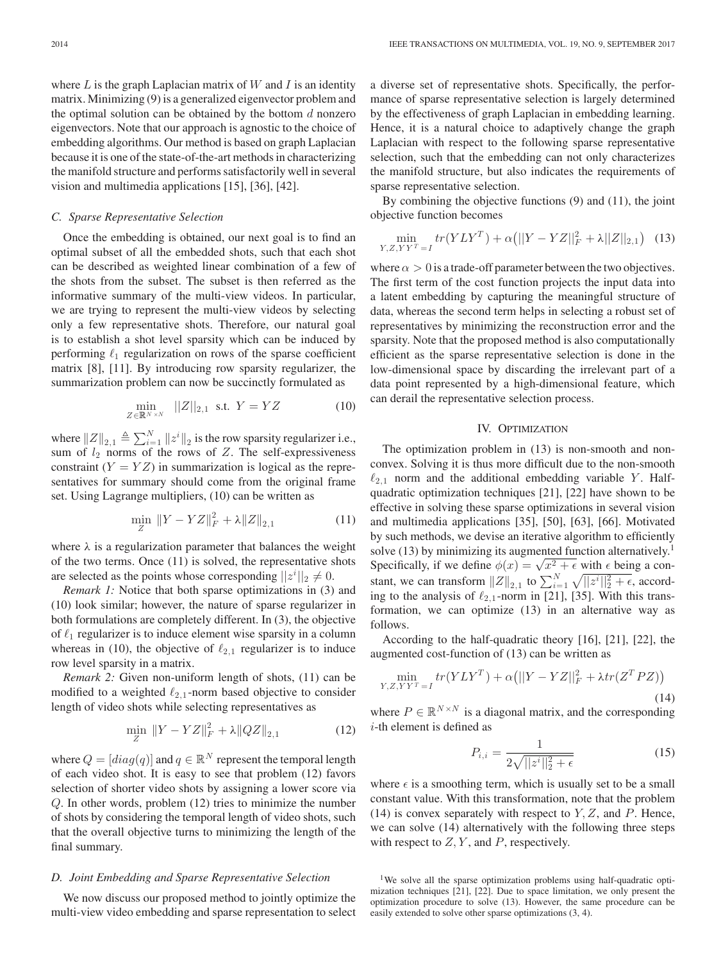where  $L$  is the graph Laplacian matrix of  $W$  and  $I$  is an identity matrix. Minimizing (9) is a generalized eigenvector problem and the optimal solution can be obtained by the bottom  $d$  nonzero eigenvectors. Note that our approach is agnostic to the choice of embedding algorithms. Our method is based on graph Laplacian because it is one of the state-of-the-art methods in characterizing the manifold structure and performs satisfactorily well in several vision and multimedia applications [15], [36], [42].

## *C. Sparse Representative Selection*

Once the embedding is obtained, our next goal is to find an optimal subset of all the embedded shots, such that each shot can be described as weighted linear combination of a few of the shots from the subset. The subset is then referred as the informative summary of the multi-view videos. In particular, we are trying to represent the multi-view videos by selecting only a few representative shots. Therefore, our natural goal is to establish a shot level sparsity which can be induced by performing  $\ell_1$  regularization on rows of the sparse coefficient<br>motive 191. [11] By introducing now examity regularizes the matrix [8], [11]. By introducing row sparsity regularizer, the summarization problem can now be succinctly formulated as

$$
\min_{Z \in \mathbb{R}^{N \times N}} ||Z||_{2,1} \text{ s.t. } Y = YZ \tag{10}
$$

where  $||Z||_{2,1} \triangleq \sum_{i=1}^{N} ||z^i||_2$  is the row sparsity regularizer i.e.,<br>sum of  $l_2$  norms of the rows of Z. The self-expressiveness sum of  $l_2$  norms of the rows of Z. The self-expressiveness constraint  $(Y = YZ)$  in summarization is logical as the representatives for summary should come from the original frame set. Using Lagrange multipliers, (10) can be written as

$$
\min_{Z} \|Y - YZ\|_{F}^{2} + \lambda \|Z\|_{2,1}
$$
\n(11)

where  $\lambda$  is a regularization parameter that balances the weight of the two terms. Once (11) is solved, the representative shots are selected as the points whose corresponding  $||z^i||_2 \neq 0$ .<br>Remark 1: Notice that both sparse optimizations in (3)

*Remark 1:* Notice that both sparse optimizations in (3) and (10) look similar; however, the nature of sparse regularizer in both formulations are completely different. In (3), the objective of  $\ell_1$  regularizer is to induce element wise sparsity in a column<br>whereas in (10), the chiestive of  $\ell_1$  results in the induce whereas in (10), the objective of  $\ell_{2,1}$  regularizer is to induce row level sparsity in a matrix.

*Remark 2:* Given non-uniform length of shots, (11) can be modified to a weighted  $\ell_{2,1}$ -norm based objective to consider langth of video chots while coloring approachatives as length of video shots while selecting representatives as

$$
\min_{Z} \|Y - YZ\|_{F}^{2} + \lambda \|QZ\|_{2,1}
$$
\n(12)

where  $Q = [diag(q)]$  and  $q \in \mathbb{R}^N$  represent the temporal length of each video shot. It is easy to see that problem (12) favors selection of shorter video shots by assigning a lower score via Q. In other words, problem (12) tries to minimize the number of shots by considering the temporal length of video shots, such that the overall objective turns to minimizing the length of the final summary.

## *D. Joint Embedding and Sparse Representative Selection*

We now discuss our proposed method to jointly optimize the multi-view video embedding and sparse representation to select a diverse set of representative shots. Specifically, the performance of sparse representative selection is largely determined by the effectiveness of graph Laplacian in embedding learning. Hence, it is a natural choice to adaptively change the graph Laplacian with respect to the following sparse representative selection, such that the embedding can not only characterizes the manifold structure, but also indicates the requirements of sparse representative selection.

By combining the objective functions (9) and (11), the joint objective function becomes

$$
\min_{Y,Z,YY^{T}=I} tr(YLY^{T}) + \alpha (||Y-YZ||_{F}^{2} + \lambda ||Z||_{2,1}) \quad (13)
$$

where  $\alpha > 0$  is a trade-off parameter between the two objectives. The first term of the cost function projects the input data into a latent embedding by capturing the meaningful structure of data, whereas the second term helps in selecting a robust set of representatives by minimizing the reconstruction error and the sparsity. Note that the proposed method is also computationally efficient as the sparse representative selection is done in the low-dimensional space by discarding the irrelevant part of a data point represented by a high-dimensional feature, which can derail the representative selection process.

## IV. OPTIMIZATION

The optimization problem in (13) is non-smooth and nonconvex. Solving it is thus more difficult due to the non-smooth  $\ell_{2,1}$  norm and the additional embedding variable Y. Half-<br>curdentia optimization techniques [211-[221 have shown to be quadratic optimization techniques [21], [22] have shown to be effective in solving these sparse optimizations in several vision and multimedia applications [35], [50], [63], [66]. Motivated by such methods, we devise an iterative algorithm to efficiently solve  $(13)$  by minimizing its augmented function alternatively.<sup>1</sup> Specifically, if we define  $\phi(x) = \sqrt{x^2 + \epsilon}$  with  $\epsilon$  being a constant, we can transform  $||Z||_{2,1}$  to  $\sum_{i=1}^{N} \sqrt{||z^i||_2^2 + \epsilon}$ , according to the analysis of  $\ell_2$ -porm in [21] [35]. With this transing to the analysis of  $\ell_{2,1}$ -norm in [21], [35]. With this trans-<br>formation, we get optimize (13) in an elternative wey get formation, we can optimize (13) in an alternative way as follows.

According to the half-quadratic theory [16], [21], [22], the augmented cost-function of (13) can be written as

$$
\min_{Y,Z,YY^T=I} tr(YLY^T) + \alpha \left( ||Y-YZ||_F^2 + \lambda tr(Z^T P Z) \right)
$$
\n(14)

where  $P \in \mathbb{R}^{N \times N}$  is a diagonal matrix, and the corresponding i-th element is defined as

$$
P_{i,i} = \frac{1}{2\sqrt{||z^i||_2^2 + \epsilon}}\tag{15}
$$

where  $\epsilon$  is a smoothing term, which is usually set to be a small constant value. With this transformation, note that the problem (14) is convex separately with respect to  $Y, Z$ , and  $P$ . Hence, we can solve (14) alternatively with the following three steps with respect to  $Z, Y$ , and  $P$ , respectively.

<sup>&</sup>lt;sup>1</sup>We solve all the sparse optimization problems using half-quadratic optimization techniques [21], [22]. Due to space limitation, we only present the optimization procedure to solve (13). However, the same procedure can be easily extended to solve other sparse optimizations (3, 4).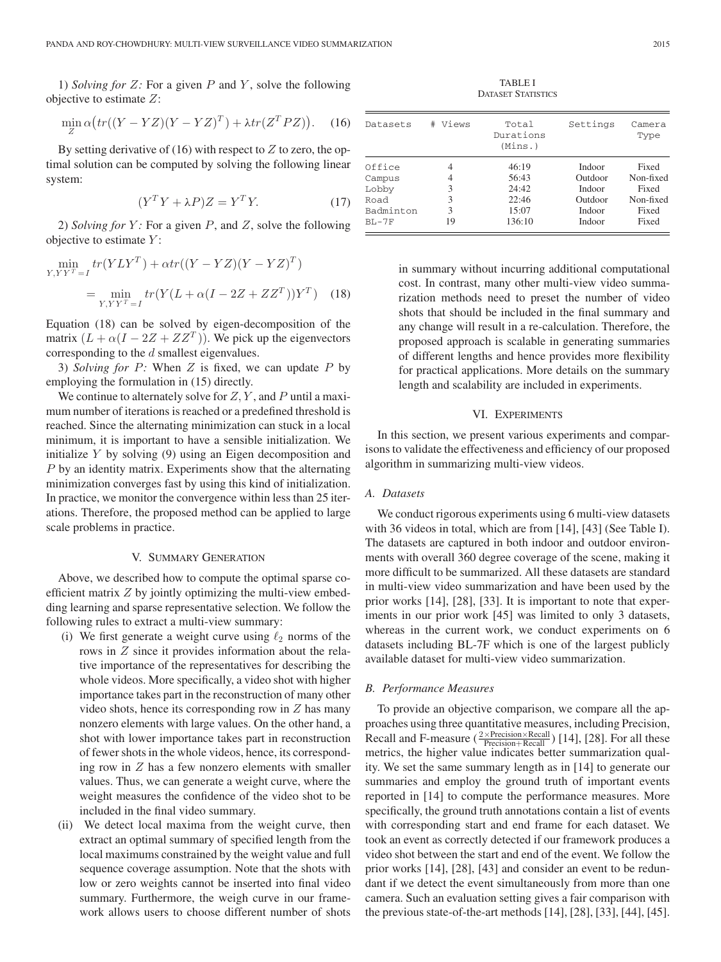1) *Solving for* Z*:* For a given P and Y , solve the following objective to estimate Z:

$$
\min_{Z} \alpha \big( tr((Y - YZ)(Y - YZ)^T) + \lambda tr(Z^T P Z) \big). \tag{16}
$$

By setting derivative of (16) with respect to  $Z$  to zero, the optimal solution can be computed by solving the following linear system:

$$
(YTY + \lambda P)Z = YTY.
$$
 (17)

2) *Solving for* Y *:* For a given P, and Z, solve the following objective to estimate  $Y$ :

$$
\min_{Y,YY^T=I} tr(YLY^T) + \alpha tr((Y - YZ)(Y - YZ)^T)
$$

$$
= \min_{Y,YY^T=I} tr(Y(L + \alpha(I - 2Z + ZZ^T))Y^T) \quad (18)
$$

Equation (18) can be solved by eigen-decomposition of the matrix  $(L + \alpha(I - 2Z + ZZ^T))$ . We pick up the eigenvectors corresponding to the d smallest eigenvalues.

3) *Solving for* P*:* When Z is fixed, we can update P by employing the formulation in (15) directly.

We continue to alternately solve for  $Z, Y$ , and P until a maximum number of iterations is reached or a predefined threshold is reached. Since the alternating minimization can stuck in a local minimum, it is important to have a sensible initialization. We initialize  $Y$  by solving  $(9)$  using an Eigen decomposition and P by an identity matrix. Experiments show that the alternating minimization converges fast by using this kind of initialization. In practice, we monitor the convergence within less than 25 iterations. Therefore, the proposed method can be applied to large scale problems in practice.

## V. SUMMARY GENERATION

Above, we described how to compute the optimal sparse coefficient matrix  $Z$  by jointly optimizing the multi-view embedding learning and sparse representative selection. We follow the following rules to extract a multi-view summary:

- (i) We first generate a weight curve using  $\ell_2$  norms of the real norms in  $Z$  since it previous information shout the relarows in Z since it provides information about the relative importance of the representatives for describing the whole videos. More specifically, a video shot with higher importance takes part in the reconstruction of many other video shots, hence its corresponding row in  $Z$  has many nonzero elements with large values. On the other hand, a shot with lower importance takes part in reconstruction of fewer shots in the whole videos, hence, its corresponding row in  $Z$  has a few nonzero elements with smaller values. Thus, we can generate a weight curve, where the weight measures the confidence of the video shot to be included in the final video summary.
- (ii) We detect local maxima from the weight curve, then extract an optimal summary of specified length from the local maximums constrained by the weight value and full sequence coverage assumption. Note that the shots with low or zero weights cannot be inserted into final video summary. Furthermore, the weigh curve in our framework allows users to choose different number of shots

TABLE I DATASET STATISTICS

| Datasets  | Views<br># | Total<br>Durations<br>(Mins.) | Settings | Camera<br>Type |
|-----------|------------|-------------------------------|----------|----------------|
| Office    | 4          | 46:19                         | Indoor   | Fixed          |
| Campus    | 4          | 56:43                         | Outdoor  | Non-fixed      |
| Lobby     | 3          | 24:42                         | Indoor   | Fixed          |
| Road      | 3          | 22:46                         | Outdoor  | Non-fixed      |
| Badminton | 3          | 15:07                         | Indoor   | Fixed          |
| $BI - 7F$ | 19         | 136:10                        | Indoor   | Fixed          |

in summary without incurring additional computational cost. In contrast, many other multi-view video summarization methods need to preset the number of video shots that should be included in the final summary and any change will result in a re-calculation. Therefore, the proposed approach is scalable in generating summaries of different lengths and hence provides more flexibility for practical applications. More details on the summary length and scalability are included in experiments.

# VI. EXPERIMENTS

In this section, we present various experiments and comparisons to validate the effectiveness and efficiency of our proposed algorithm in summarizing multi-view videos.

## *A. Datasets*

We conduct rigorous experiments using 6 multi-view datasets with 36 videos in total, which are from [14], [43] (See Table I). The datasets are captured in both indoor and outdoor environments with overall 360 degree coverage of the scene, making it more difficult to be summarized. All these datasets are standard in multi-view video summarization and have been used by the prior works [14], [28], [33]. It is important to note that experiments in our prior work [45] was limited to only 3 datasets, whereas in the current work, we conduct experiments on 6 datasets including BL-7F which is one of the largest publicly available dataset for multi-view video summarization.

## *B. Performance Measures*

To provide an objective comparison, we compare all the approaches using three quantitative measures, including Precision, Recall and F-measure  $\left(\frac{2 \times \text{Precision} \times \text{Recall}}{\text{Precision} + \text{Recall}}\right)$  [14], [28]. For all these metrics, the higher value indicates better summarization quality. We set the same summary length as in [14] to generate our summaries and employ the ground truth of important events reported in [14] to compute the performance measures. More specifically, the ground truth annotations contain a list of events with corresponding start and end frame for each dataset. We took an event as correctly detected if our framework produces a video shot between the start and end of the event. We follow the prior works [14], [28], [43] and consider an event to be redundant if we detect the event simultaneously from more than one camera. Such an evaluation setting gives a fair comparison with the previous state-of-the-art methods [14], [28], [33], [44], [45].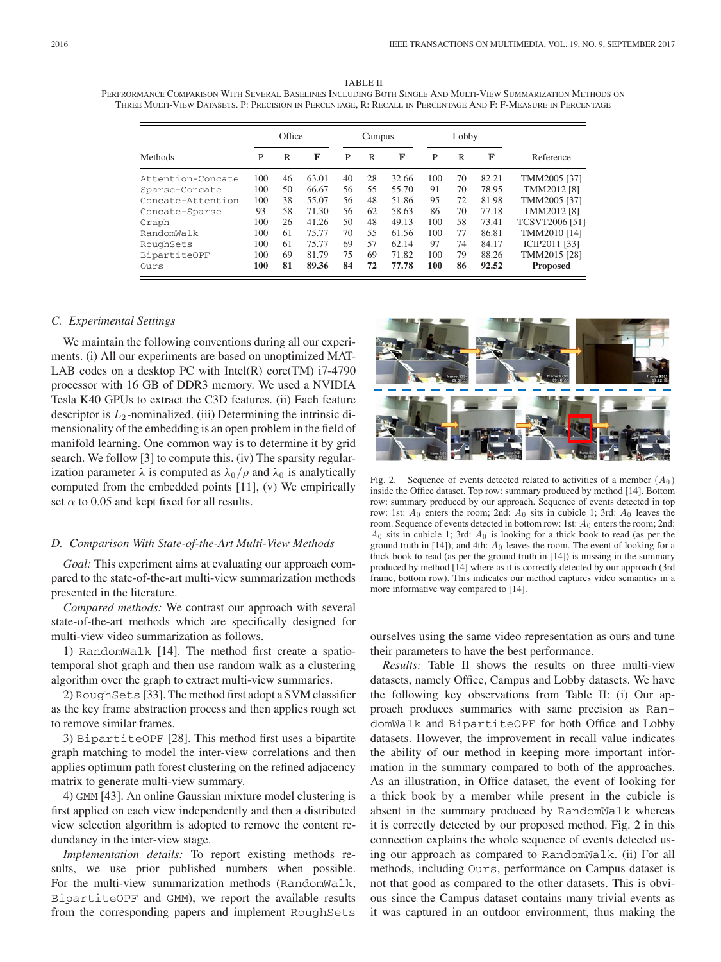| .                                                                                                              |
|----------------------------------------------------------------------------------------------------------------|
| Perfrormance Comparison With Several Baselines Including Both Single And Multi-View Summarization Methods on I |
| THREE MULTI-VIEW DATASETS. P: PRECISION IN PERCENTAGE. R: RECALL IN PERCENTAGE AND F: F-MEASURE IN PERCENTAGE  |

|                   | Office |    | Campus |        | Lobby |       |        |    |       |                       |
|-------------------|--------|----|--------|--------|-------|-------|--------|----|-------|-----------------------|
| <b>Methods</b>    | P      | R  | F      | P<br>R |       | F     | P<br>R |    | F     | Reference             |
| Attention-Concate | 100    | 46 | 63.01  | 40     | 28    | 32.66 | 100    | 70 | 82.21 | TMM2005 [37]          |
| Sparse-Concate    | 100    | 50 | 66.67  | 56     | 55    | 55.70 | 91     | 70 | 78.95 | TMM2012 [8]           |
| Concate-Attention | 100    | 38 | 55.07  | 56     | 48    | 51.86 | 95     | 72 | 81.98 | TMM2005 [37]          |
| Concate-Sparse    | 93     | 58 | 71.30  | 56     | 62    | 58.63 | 86     | 70 | 77.18 | TMM2012 [8]           |
| Graph             | 100    | 26 | 41.26  | 50     | 48    | 49.13 | 100    | 58 | 73.41 | <b>TCSVT2006</b> [51] |
| RandomWalk        | 100    | 61 | 75.77  | 70     | 55    | 61.56 | 100    | 77 | 86.81 | TMM2010 [14]          |
| RoughSets         | 100    | 61 | 75.77  | 69     | 57    | 62.14 | 97     | 74 | 84.17 | <b>ICIP2011 [33]</b>  |
| BipartiteOPF      | 100    | 69 | 81.79  | 75     | 69    | 71.82 | 100    | 79 | 88.26 | TMM2015 [28]          |
| Ours              | 100    | 81 | 89.36  | 84     | 72    | 77.78 | 100    | 86 | 92.52 | <b>Proposed</b>       |

# *C. Experimental Settings*

We maintain the following conventions during all our experiments. (i) All our experiments are based on unoptimized MAT-LAB codes on a desktop PC with Intel(R) core(TM) i7-4790 processor with 16 GB of DDR3 memory. We used a NVIDIA Tesla K40 GPUs to extract the C3D features. (ii) Each feature descriptor is  $L_2$ -nominalized. (iii) Determining the intrinsic dimensionality of the embedding is an open problem in the field of manifold learning. One common way is to determine it by grid search. We follow [3] to compute this. (iv) The sparsity regularization parameter  $\lambda$  is computed as  $\lambda_0/\rho$  and  $\lambda_0$  is analytically computed from the embedded points [11], (v) We empirically set  $\alpha$  to 0.05 and kept fixed for all results.

## *D. Comparison With State-of-the-Art Multi-View Methods*

*Goal:* This experiment aims at evaluating our approach compared to the state-of-the-art multi-view summarization methods presented in the literature.

*Compared methods:* We contrast our approach with several state-of-the-art methods which are specifically designed for multi-view video summarization as follows.

1) RandomWalk [14]. The method first create a spatiotemporal shot graph and then use random walk as a clustering algorithm over the graph to extract multi-view summaries.

2) RoughSets [33]. The method first adopt a SVM classifier as the key frame abstraction process and then applies rough set to remove similar frames.

3) BipartiteOPF [28]. This method first uses a bipartite graph matching to model the inter-view correlations and then applies optimum path forest clustering on the refined adjacency matrix to generate multi-view summary.

4) GMM [43]. An online Gaussian mixture model clustering is first applied on each view independently and then a distributed view selection algorithm is adopted to remove the content redundancy in the inter-view stage.

*Implementation details:* To report existing methods results, we use prior published numbers when possible. For the multi-view summarization methods (RandomWalk, BipartiteOPF and GMM), we report the available results from the corresponding papers and implement RoughSets



Fig. 2. Sequence of events detected related to activities of a member  $(A_0)$ inside the Office dataset. Top row: summary produced by method [14]. Bottom row: summary produced by our approach. Sequence of events detected in top row: 1st:  $A_0$  enters the room; 2nd:  $A_0$  sits in cubicle 1; 3rd:  $A_0$  leaves the room. Sequence of events detected in bottom row: 1st:  $A_0$  enters the room; 2nd:  $A_0$  sits in cubicle 1; 3rd:  $A_0$  is looking for a thick book to read (as per the ground truth in [14]); and 4th:  $A_0$  leaves the room. The event of looking for a thick book to read (as per the ground truth in [14]) is missing in the summary produced by method [14] where as it is correctly detected by our approach (3rd frame, bottom row). This indicates our method captures video semantics in a more informative way compared to [14].

ourselves using the same video representation as ours and tune their parameters to have the best performance.

*Results:* Table II shows the results on three multi-view datasets, namely Office, Campus and Lobby datasets. We have the following key observations from Table II: (i) Our approach produces summaries with same precision as RandomWalk and BipartiteOPF for both Office and Lobby datasets. However, the improvement in recall value indicates the ability of our method in keeping more important information in the summary compared to both of the approaches. As an illustration, in Office dataset, the event of looking for a thick book by a member while present in the cubicle is absent in the summary produced by RandomWalk whereas it is correctly detected by our proposed method. Fig. 2 in this connection explains the whole sequence of events detected using our approach as compared to RandomWalk. (ii) For all methods, including Ours, performance on Campus dataset is not that good as compared to the other datasets. This is obvious since the Campus dataset contains many trivial events as it was captured in an outdoor environment, thus making the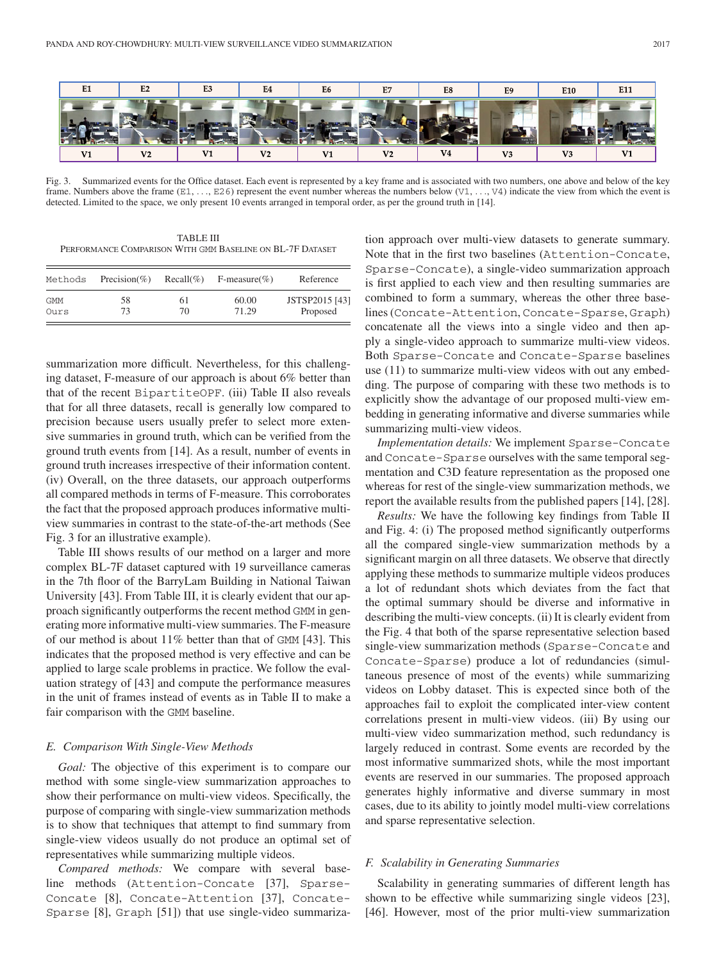

Fig. 3. Summarized events for the Office dataset. Each event is represented by a key frame and is associated with two numbers, one above and below of the key frame. Numbers above the frame (E1, ..., E26) represent the event number whereas the numbers below (V1, ..., V4) indicate the view from which the event is detected. Limited to the space, we only present 10 events arranged in temporal order, as per the ground truth in [14].

TABLE III PERFORMANCE COMPARISON WITH GMM BASELINE ON BL-7F DATASET

| Methods    | Precision(%) | $Recall(\%)$ | $F-measure(\% )$ | Reference      |
|------------|--------------|--------------|------------------|----------------|
| <b>GMM</b> | 58           | 61           | 60.00            | JSTSP2015 [43] |
| Ours       | 73           | 70           | 71.29            | Proposed       |

summarization more difficult. Nevertheless, for this challenging dataset, F-measure of our approach is about 6% better than that of the recent BipartiteOPF. (iii) Table II also reveals that for all three datasets, recall is generally low compared to precision because users usually prefer to select more extensive summaries in ground truth, which can be verified from the ground truth events from [14]. As a result, number of events in ground truth increases irrespective of their information content. (iv) Overall, on the three datasets, our approach outperforms all compared methods in terms of F-measure. This corroborates the fact that the proposed approach produces informative multiview summaries in contrast to the state-of-the-art methods (See Fig. 3 for an illustrative example).

Table III shows results of our method on a larger and more complex BL-7F dataset captured with 19 surveillance cameras in the 7th floor of the BarryLam Building in National Taiwan University [43]. From Table III, it is clearly evident that our approach significantly outperforms the recent method GMM in generating more informative multi-view summaries. The F-measure of our method is about 11% better than that of GMM [43]. This indicates that the proposed method is very effective and can be applied to large scale problems in practice. We follow the evaluation strategy of [43] and compute the performance measures in the unit of frames instead of events as in Table II to make a fair comparison with the GMM baseline.

## *E. Comparison With Single-View Methods*

*Goal:* The objective of this experiment is to compare our method with some single-view summarization approaches to show their performance on multi-view videos. Specifically, the purpose of comparing with single-view summarization methods is to show that techniques that attempt to find summary from single-view videos usually do not produce an optimal set of representatives while summarizing multiple videos.

*Compared methods:* We compare with several baseline methods (Attention-Concate [37], Sparse-Concate [8], Concate-Attention [37], Concate-Sparse [8], Graph [51]) that use single-video summarization approach over multi-view datasets to generate summary. Note that in the first two baselines (Attention-Concate, Sparse-Concate), a single-video summarization approach is first applied to each view and then resulting summaries are combined to form a summary, whereas the other three baselines (Concate-Attention, Concate-Sparse, Graph) concatenate all the views into a single video and then apply a single-video approach to summarize multi-view videos. Both Sparse-Concate and Concate-Sparse baselines use (11) to summarize multi-view videos with out any embedding. The purpose of comparing with these two methods is to explicitly show the advantage of our proposed multi-view embedding in generating informative and diverse summaries while summarizing multi-view videos.

*Implementation details:* We implement Sparse-Concate and Concate-Sparse ourselves with the same temporal segmentation and C3D feature representation as the proposed one whereas for rest of the single-view summarization methods, we report the available results from the published papers [14], [28].

*Results:* We have the following key findings from Table II and Fig. 4: (i) The proposed method significantly outperforms all the compared single-view summarization methods by a significant margin on all three datasets. We observe that directly applying these methods to summarize multiple videos produces a lot of redundant shots which deviates from the fact that the optimal summary should be diverse and informative in describing the multi-view concepts. (ii) It is clearly evident from the Fig. 4 that both of the sparse representative selection based single-view summarization methods (Sparse-Concate and Concate-Sparse) produce a lot of redundancies (simultaneous presence of most of the events) while summarizing videos on Lobby dataset. This is expected since both of the approaches fail to exploit the complicated inter-view content correlations present in multi-view videos. (iii) By using our multi-view video summarization method, such redundancy is largely reduced in contrast. Some events are recorded by the most informative summarized shots, while the most important events are reserved in our summaries. The proposed approach generates highly informative and diverse summary in most cases, due to its ability to jointly model multi-view correlations and sparse representative selection.

## *F. Scalability in Generating Summaries*

Scalability in generating summaries of different length has shown to be effective while summarizing single videos [23], [46]. However, most of the prior multi-view summarization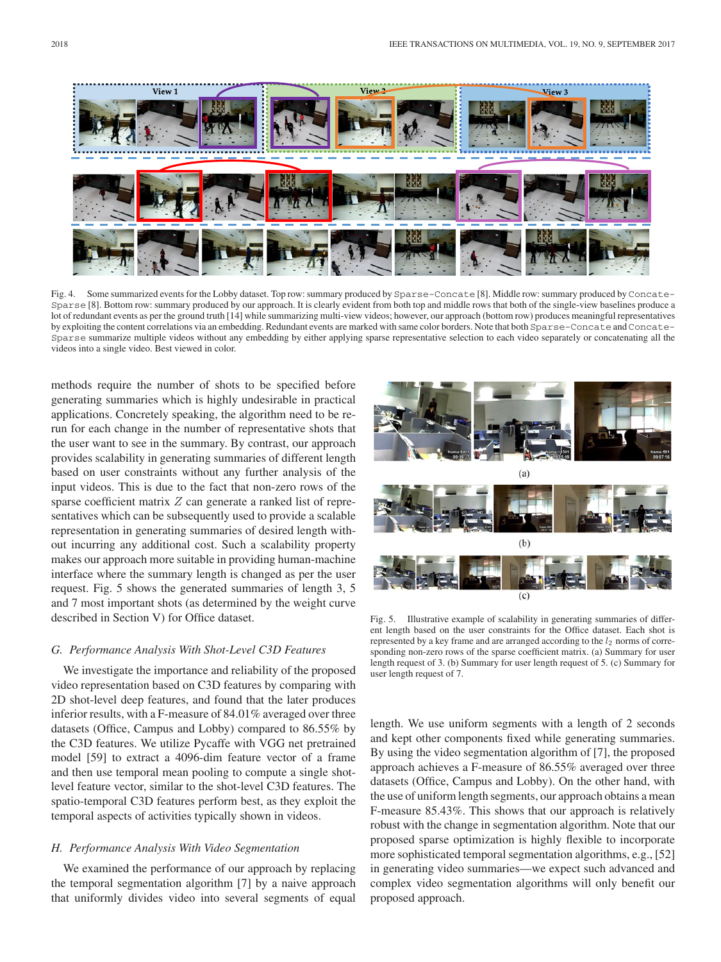

Fig. 4. Some summarized events for the Lobby dataset. Top row: summary produced by Sparse-Concate [8]. Middle row: summary produced by Concate-Sparse [8]. Bottom row: summary produced by our approach. It is clearly evident from both top and middle rows that both of the single-view baselines produce a lot of redundant events as per the ground truth [14] while summarizing multi-view videos; however, our approach (bottom row) produces meaningful representatives by exploiting the content correlations via an embedding. Redundant events are marked with same color borders. Note that both Sparse-Concate and Concate-Sparse summarize multiple videos without any embedding by either applying sparse representative selection to each video separately or concatenating all the videos into a single video. Best viewed in color.

methods require the number of shots to be specified before generating summaries which is highly undesirable in practical applications. Concretely speaking, the algorithm need to be rerun for each change in the number of representative shots that the user want to see in the summary. By contrast, our approach provides scalability in generating summaries of different length based on user constraints without any further analysis of the input videos. This is due to the fact that non-zero rows of the sparse coefficient matrix Z can generate a ranked list of representatives which can be subsequently used to provide a scalable representation in generating summaries of desired length without incurring any additional cost. Such a scalability property makes our approach more suitable in providing human-machine interface where the summary length is changed as per the user request. Fig. 5 shows the generated summaries of length 3, 5 and 7 most important shots (as determined by the weight curve described in Section V) for Office dataset.

## *G. Performance Analysis With Shot-Level C3D Features*

We investigate the importance and reliability of the proposed video representation based on C3D features by comparing with 2D shot-level deep features, and found that the later produces inferior results, with a F-measure of 84.01% averaged over three datasets (Office, Campus and Lobby) compared to 86.55% by the C3D features. We utilize Pycaffe with VGG net pretrained model [59] to extract a 4096-dim feature vector of a frame and then use temporal mean pooling to compute a single shotlevel feature vector, similar to the shot-level C3D features. The spatio-temporal C3D features perform best, as they exploit the temporal aspects of activities typically shown in videos.

# *H. Performance Analysis With Video Segmentation*

We examined the performance of our approach by replacing the temporal segmentation algorithm [7] by a naive approach that uniformly divides video into several segments of equal



Fig. 5. Illustrative example of scalability in generating summaries of different length based on the user constraints for the Office dataset. Each shot is represented by a key frame and are arranged according to the  $l_2$  norms of corresponding non-zero rows of the sparse coefficient matrix. (a) Summary for user length request of 3. (b) Summary for user length request of 5. (c) Summary for user length request of 7.

length. We use uniform segments with a length of 2 seconds and kept other components fixed while generating summaries. By using the video segmentation algorithm of [7], the proposed approach achieves a F-measure of 86.55% averaged over three datasets (Office, Campus and Lobby). On the other hand, with the use of uniform length segments, our approach obtains a mean F-measure 85.43%. This shows that our approach is relatively robust with the change in segmentation algorithm. Note that our proposed sparse optimization is highly flexible to incorporate more sophisticated temporal segmentation algorithms, e.g., [52] in generating video summaries—we expect such advanced and complex video segmentation algorithms will only benefit our proposed approach.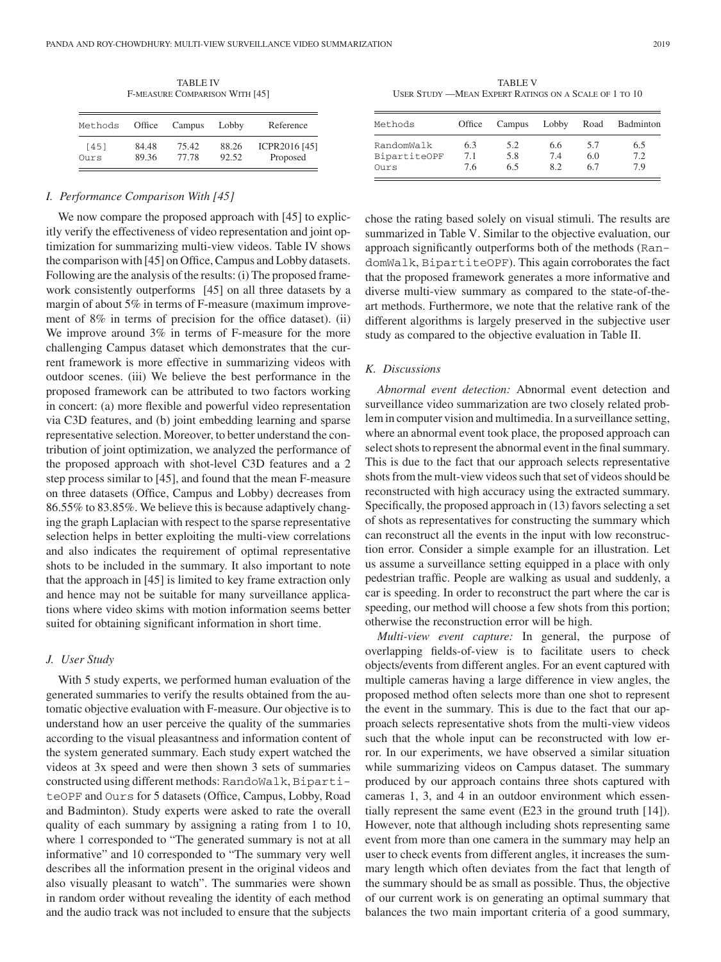| Methods | Office | Campus | Lobby | Reference     |
|---------|--------|--------|-------|---------------|
| [45]    | 84.48  | 75.42  | 88.26 | ICPR2016 [45] |
| Ours    | 89.36  | 77.78  | 92.52 | Proposed      |

## *I. Performance Comparison With [45]*

We now compare the proposed approach with [45] to explicitly verify the effectiveness of video representation and joint optimization for summarizing multi-view videos. Table IV shows the comparison with [45] on Office, Campus and Lobby datasets. Following are the analysis of the results: (i) The proposed framework consistently outperforms [45] on all three datasets by a margin of about 5% in terms of F-measure (maximum improvement of 8% in terms of precision for the office dataset). (ii) We improve around 3% in terms of F-measure for the more challenging Campus dataset which demonstrates that the current framework is more effective in summarizing videos with outdoor scenes. (iii) We believe the best performance in the proposed framework can be attributed to two factors working in concert: (a) more flexible and powerful video representation via C3D features, and (b) joint embedding learning and sparse representative selection. Moreover, to better understand the contribution of joint optimization, we analyzed the performance of the proposed approach with shot-level C3D features and a 2 step process similar to [45], and found that the mean F-measure on three datasets (Office, Campus and Lobby) decreases from 86.55% to 83.85%. We believe this is because adaptively changing the graph Laplacian with respect to the sparse representative selection helps in better exploiting the multi-view correlations and also indicates the requirement of optimal representative shots to be included in the summary. It also important to note that the approach in [45] is limited to key frame extraction only and hence may not be suitable for many surveillance applications where video skims with motion information seems better suited for obtaining significant information in short time.

# *J. User Study*

With 5 study experts, we performed human evaluation of the generated summaries to verify the results obtained from the automatic objective evaluation with F-measure. Our objective is to understand how an user perceive the quality of the summaries according to the visual pleasantness and information content of the system generated summary. Each study expert watched the videos at 3x speed and were then shown 3 sets of summaries constructed using different methods: RandoWalk, BipartiteOPF and Ours for 5 datasets (Office, Campus, Lobby, Road and Badminton). Study experts were asked to rate the overall quality of each summary by assigning a rating from 1 to 10, where 1 corresponded to "The generated summary is not at all informative" and 10 corresponded to "The summary very well describes all the information present in the original videos and also visually pleasant to watch". The summaries were shown in random order without revealing the identity of each method and the audio track was not included to ensure that the subjects

TABLE V USER STUDY —MEAN EXPERT RATINGS ON A SCALE OF 1 TO 10

| Methods      | Office | Campus | Lobby | Road | Badminton |
|--------------|--------|--------|-------|------|-----------|
| RandomWalk   | 6.3    | 5.2    | 6.6   | 5.7  | 6.5       |
| BipartiteOPF | 7.1    | 5.8    | 7.4   | 6.0  | 7.2       |
| Ours         | 7.6    | 6.5    | 82    | 67   | 7.9       |

chose the rating based solely on visual stimuli. The results are summarized in Table V. Similar to the objective evaluation, our approach significantly outperforms both of the methods (RandomWalk, BipartiteOPF). This again corroborates the fact that the proposed framework generates a more informative and diverse multi-view summary as compared to the state-of-theart methods. Furthermore, we note that the relative rank of the different algorithms is largely preserved in the subjective user study as compared to the objective evaluation in Table II.

# *K. Discussions*

*Abnormal event detection:* Abnormal event detection and surveillance video summarization are two closely related problem in computer vision and multimedia. In a surveillance setting, where an abnormal event took place, the proposed approach can select shots to represent the abnormal event in the final summary. This is due to the fact that our approach selects representative shots from the mult-view videos such that set of videos should be reconstructed with high accuracy using the extracted summary. Specifically, the proposed approach in (13) favors selecting a set of shots as representatives for constructing the summary which can reconstruct all the events in the input with low reconstruction error. Consider a simple example for an illustration. Let us assume a surveillance setting equipped in a place with only pedestrian traffic. People are walking as usual and suddenly, a car is speeding. In order to reconstruct the part where the car is speeding, our method will choose a few shots from this portion; otherwise the reconstruction error will be high.

*Multi-view event capture:* In general, the purpose of overlapping fields-of-view is to facilitate users to check objects/events from different angles. For an event captured with multiple cameras having a large difference in view angles, the proposed method often selects more than one shot to represent the event in the summary. This is due to the fact that our approach selects representative shots from the multi-view videos such that the whole input can be reconstructed with low error. In our experiments, we have observed a similar situation while summarizing videos on Campus dataset. The summary produced by our approach contains three shots captured with cameras 1, 3, and 4 in an outdoor environment which essentially represent the same event (E23 in the ground truth [14]). However, note that although including shots representing same event from more than one camera in the summary may help an user to check events from different angles, it increases the summary length which often deviates from the fact that length of the summary should be as small as possible. Thus, the objective of our current work is on generating an optimal summary that balances the two main important criteria of a good summary,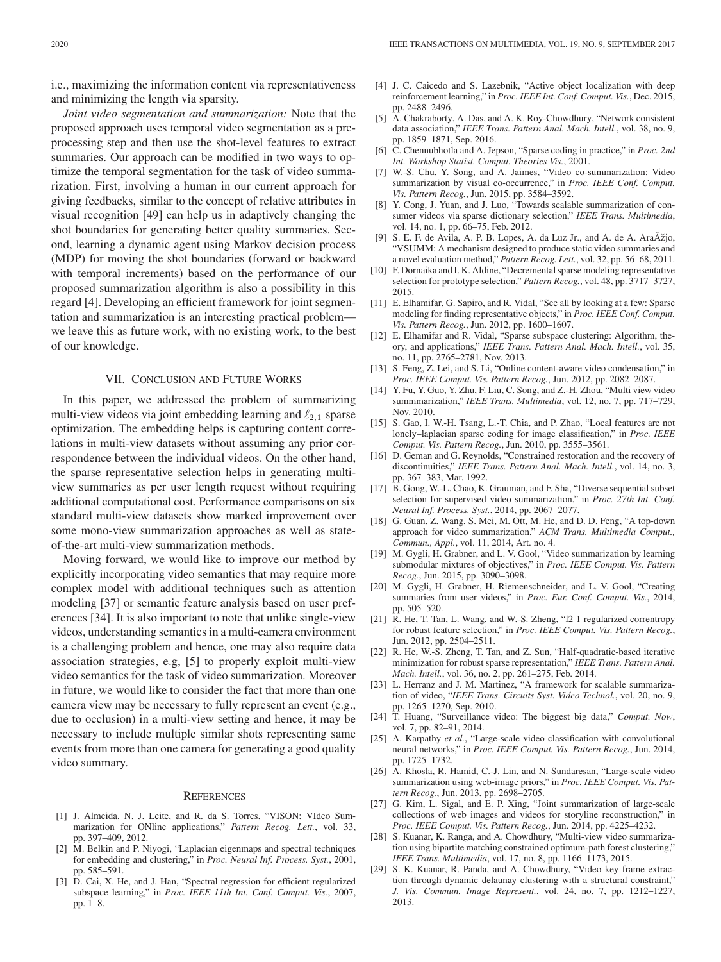i.e., maximizing the information content via representativeness and minimizing the length via sparsity.

*Joint video segmentation and summarization:* Note that the proposed approach uses temporal video segmentation as a preprocessing step and then use the shot-level features to extract summaries. Our approach can be modified in two ways to optimize the temporal segmentation for the task of video summarization. First, involving a human in our current approach for giving feedbacks, similar to the concept of relative attributes in visual recognition [49] can help us in adaptively changing the shot boundaries for generating better quality summaries. Second, learning a dynamic agent using Markov decision process (MDP) for moving the shot boundaries (forward or backward with temporal increments) based on the performance of our proposed summarization algorithm is also a possibility in this regard [4]. Developing an efficient framework for joint segmentation and summarization is an interesting practical problem we leave this as future work, with no existing work, to the best of our knowledge.

## VII. CONCLUSION AND FUTURE WORKS

In this paper, we addressed the problem of summarizing multi-view videos via joint embedding learning and  $\ell_{2,1}$  sparse<br>continuation. The embedding helps is continuous content comes optimization. The embedding helps is capturing content correlations in multi-view datasets without assuming any prior correspondence between the individual videos. On the other hand, the sparse representative selection helps in generating multiview summaries as per user length request without requiring additional computational cost. Performance comparisons on six standard multi-view datasets show marked improvement over some mono-view summarization approaches as well as stateof-the-art multi-view summarization methods.

Moving forward, we would like to improve our method by explicitly incorporating video semantics that may require more complex model with additional techniques such as attention modeling [37] or semantic feature analysis based on user preferences [34]. It is also important to note that unlike single-view videos, understanding semantics in a multi-camera environment is a challenging problem and hence, one may also require data association strategies, e.g, [5] to properly exploit multi-view video semantics for the task of video summarization. Moreover in future, we would like to consider the fact that more than one camera view may be necessary to fully represent an event (e.g., due to occlusion) in a multi-view setting and hence, it may be necessary to include multiple similar shots representing same events from more than one camera for generating a good quality video summary.

#### **REFERENCES**

- [1] J. Almeida, N. J. Leite, and R. da S. Torres, "VISON: VIdeo Summarization for ONline applications," *Pattern Recog. Lett.*, vol. 33, pp. 397–409, 2012.
- [2] M. Belkin and P. Niyogi, "Laplacian eigenmaps and spectral techniques for embedding and clustering," in *Proc. Neural Inf. Process. Syst.*, 2001, pp. 585–591.
- [3] D. Cai, X. He, and J. Han, "Spectral regression for efficient regularized subspace learning," in *Proc. IEEE 11th Int. Conf. Comput. Vis.*, 2007, pp. 1–8.
- [4] J. C. Caicedo and S. Lazebnik, "Active object localization with deep reinforcement learning," in *Proc. IEEE Int. Conf. Comput. Vis.*, Dec. 2015, pp. 2488–2496.
- [5] A. Chakraborty, A. Das, and A. K. Roy-Chowdhury, "Network consistent data association," *IEEE Trans. Pattern Anal. Mach. Intell.*, vol. 38, no. 9, pp. 1859–1871, Sep. 2016.
- [6] C. Chennubhotla and A. Jepson, "Sparse coding in practice," in *Proc. 2nd Int. Workshop Statist. Comput. Theories Vis.*, 2001.
- [7] W.-S. Chu, Y. Song, and A. Jaimes, "Video co-summarization: Video summarization by visual co-occurrence," in *Proc. IEEE Conf. Comput. Vis. Pattern Recog.*, Jun. 2015, pp. 3584–3592.
- [8] Y. Cong, J. Yuan, and J. Luo, "Towards scalable summarization of consumer videos via sparse dictionary selection," *IEEE Trans. Multimedia*, vol. 14, no. 1, pp. 66–75, Feb. 2012.
- [9] S. E. F. de Avila, A. P. B. Lopes, A. da Luz Jr., and A. de A. Ara $\tilde{A}$ žjo, "VSUMM: A mechanism designed to produce static video summaries and a novel evaluation method," *Pattern Recog. Lett.*, vol. 32, pp. 56–68, 2011.
- [10] F. Dornaika and I. K. Aldine, "Decremental sparse modeling representative selection for prototype selection," *Pattern Recog.*, vol. 48, pp. 3717–3727, 2015.
- [11] E. Elhamifar, G. Sapiro, and R. Vidal, "See all by looking at a few: Sparse modeling for finding representative objects," in *Proc. IEEE Conf. Comput. Vis. Pattern Recog.*, Jun. 2012, pp. 1600–1607.
- [12] E. Elhamifar and R. Vidal, "Sparse subspace clustering: Algorithm, theory, and applications," *IEEE Trans. Pattern Anal. Mach. Intell.*, vol. 35, no. 11, pp. 2765–2781, Nov. 2013.
- [13] S. Feng, Z. Lei, and S. Li, "Online content-aware video condensation," in *Proc. IEEE Comput. Vis. Pattern Recog.*, Jun. 2012, pp. 2082–2087.
- [14] Y. Fu, Y. Guo, Y. Zhu, F. Liu, C. Song, and Z.-H. Zhou, "Multi view video summmarization," *IEEE Trans. Multimedia*, vol. 12, no. 7, pp. 717–729, Nov. 2010.
- [15] S. Gao, I. W.-H. Tsang, L.-T. Chia, and P. Zhao, "Local features are not lonely–laplacian sparse coding for image classification," in *Proc. IEEE Comput. Vis. Pattern Recog.*, Jun. 2010, pp. 3555–3561.
- [16] D. Geman and G. Reynolds, "Constrained restoration and the recovery of discontinuities," *IEEE Trans. Pattern Anal. Mach. Intell.*, vol. 14, no. 3, pp. 367–383, Mar. 1992.
- [17] B. Gong, W.-L. Chao, K. Grauman, and F. Sha, "Diverse sequential subset selection for supervised video summarization," in *Proc. 27th Int. Conf. Neural Inf. Process. Syst.*, 2014, pp. 2067–2077.
- [18] G. Guan, Z. Wang, S. Mei, M. Ott, M. He, and D. D. Feng, "A top-down approach for video summarization," *ACM Trans. Multimedia Comput., Commun., Appl.*, vol. 11, 2014, Art. no. 4.
- [19] M. Gygli, H. Grabner, and L. V. Gool, "Video summarization by learning submodular mixtures of objectives," in *Proc. IEEE Comput. Vis. Pattern Recog.*, Jun. 2015, pp. 3090–3098.
- [20] M. Gygli, H. Grabner, H. Riemenschneider, and L. V. Gool, "Creating summaries from user videos," in *Proc. Eur. Conf. Comput. Vis.*, 2014, pp. 505–520.
- [21] R. He, T. Tan, L. Wang, and W.-S. Zheng, "12 1 regularized correntropy for robust feature selection," in *Proc. IEEE Comput. Vis. Pattern Recog.*, Jun. 2012, pp. 2504–2511.
- [22] R. He, W.-S. Zheng, T. Tan, and Z. Sun, "Half-quadratic-based iterative minimization for robust sparse representation," *IEEE Trans. Pattern Anal. Mach. Intell.*, vol. 36, no. 2, pp. 261–275, Feb. 2014.
- [23] L. Herranz and J. M. Martinez, "A framework for scalable summarization of video, "*IEEE Trans. Circuits Syst. Video Technol.*, vol. 20, no. 9, pp. 1265–1270, Sep. 2010.
- [24] T. Huang, "Surveillance video: The biggest big data," *Comput. Now*, vol. 7, pp. 82–91, 2014.
- [25] A. Karpathy *et al.*, "Large-scale video classification with convolutional neural networks," in *Proc. IEEE Comput. Vis. Pattern Recog.*, Jun. 2014, pp. 1725–1732.
- [26] A. Khosla, R. Hamid, C.-J. Lin, and N. Sundaresan, "Large-scale video summarization using web-image priors," in *Proc. IEEE Comput. Vis. Pattern Recog.*, Jun. 2013, pp. 2698–2705.
- [27] G. Kim, L. Sigal, and E. P. Xing, "Joint summarization of large-scale collections of web images and videos for storyline reconstruction," in *Proc. IEEE Comput. Vis. Pattern Recog.*, Jun. 2014, pp. 4225–4232.
- [28] S. Kuanar, K. Ranga, and A. Chowdhury, "Multi-view video summarization using bipartite matching constrained optimum-path forest clustering," *IEEE Trans. Multimedia*, vol. 17, no. 8, pp. 1166–1173, 2015.
- [29] S. K. Kuanar, R. Panda, and A. Chowdhury, "Video key frame extraction through dynamic delaunay clustering with a structural constraint," *J. Vis. Commun. Image Represent.*, vol. 24, no. 7, pp. 1212–1227, 2013.